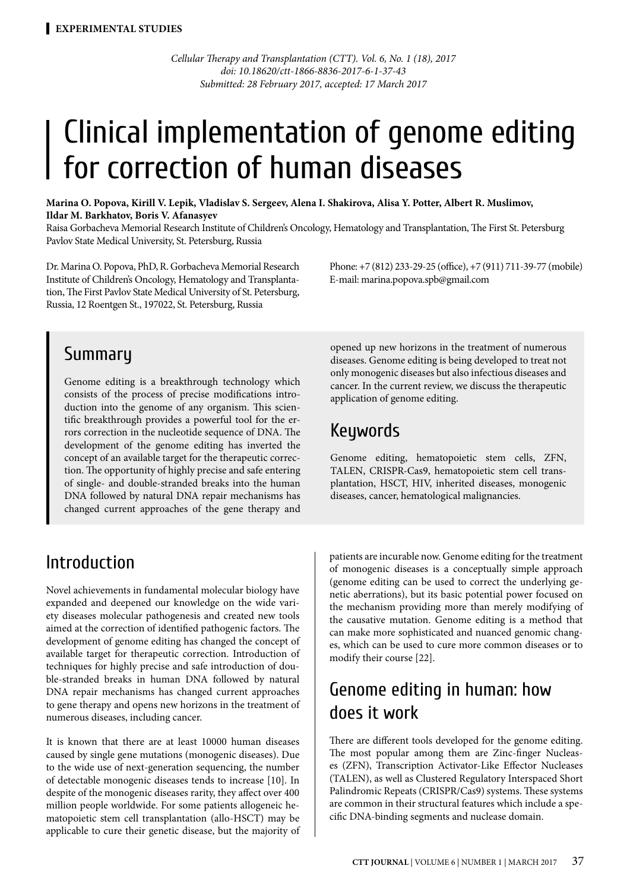*Cellular Therapy and Transplantation (CTT). Vol. 6, No. 1 (18), 2017 doi: 10.18620/ctt-1866-8836-2017-6-1-37-43 Submitted: 28 February 2017, accepted: 17 March 2017*

# | Clinical implementation of genome editing for correction of human diseases

**Marina O. Popova, Kirill V. Lepik, Vladislav S. Sergeev, Alena I. Shakirova, Alisa Y. Potter, Albert R. Muslimov, Ildar M. Barkhatov, Boris V. Afanasyev** 

Raisa Gorbacheva Memorial Research Institute of Children's Oncology, Hematology and Transplantation, The First St. Petersburg Pavlov State Medical University, St. Petersburg, Russia

Dr. Marina O. Popova, PhD, R. Gorbacheva Memorial Research Institute of Children's Oncology, Hematology and Transplantation, The First Pavlov State Medical University of St. Petersburg, Russia, 12 Roentgen St., 197022, St. Petersburg, Russia

Phone: +7 (812) 233-29-25 (office), +7 (911) 711-39-77 (mobile) E-mail: marina.popova.spb@gmail.com

### Summary

Genome editing is a breakthrough technology which consists of the process of precise modifications introduction into the genome of any organism. This scientific breakthrough provides a powerful tool for the errors correction in the nucleotide sequence of DNA. The development of the genome editing has inverted the concept of an available target for the therapeutic correction. The opportunity of highly precise and safe entering of single- and double-stranded breaks into the human DNA followed by natural DNA repair mechanisms has changed current approaches of the gene therapy and

### Introduction

Novel achievements in fundamental molecular biology have expanded and deepened our knowledge on the wide variety diseases molecular pathogenesis and created new tools aimed at the correction of identified pathogenic factors. The development of genome editing has changed the concept of available target for therapeutic correction. Introduction of techniques for highly precise and safe introduction of double-stranded breaks in human DNA followed by natural DNA repair mechanisms has changed current approaches to gene therapy and opens new horizons in the treatment of numerous diseases, including cancer.

It is known that there are at least 10000 human diseases caused by single gene mutations (monogenic diseases). Due to the wide use of next-generation sequencing, the number of detectable monogenic diseases tends to increase [10]. In despite of the monogenic diseases rarity, they affect over 400 million people worldwide. For some patients allogeneic hematopoietic stem cell transplantation (allo-HSCT) may be applicable to cure their genetic disease, but the majority of

opened up new horizons in the treatment of numerous diseases. Genome editing is being developed to treat not only monogenic diseases but also infectious diseases and cancer. In the current review, we discuss the therapeutic application of genome editing.

### Keywords

Genome editing, hematopoietic stem cells, ZFN, TALEN, CRISPR-Cas9, hematopoietic stem cell transplantation, HSCT, HIV, inherited diseases, monogenic diseases, cancer, hematological malignancies.

patients are incurable now. Genome editing for the treatment of monogenic diseases is a conceptually simple approach (genome editing can be used to correct the underlying genetic aberrations), but its basic potential power focused on the mechanism providing more than merely modifying of the causative mutation. Genome editing is a method that can make more sophisticated and nuanced genomic changes, which can be used to cure more common diseases or to modify their course [22].

# Genome editing in human: how does it work

There are different tools developed for the genome editing. The most popular among them are Zinc-finger Nucleases (ZFN), Transcription Activator-Like Effector Nucleases (TALEN), as well as Clustered Regulatory Interspaced Short Palindromic Repeats (CRISPR/Cas9) systems. These systems are common in their structural features which include a specific DNA-binding segments and nuclease domain.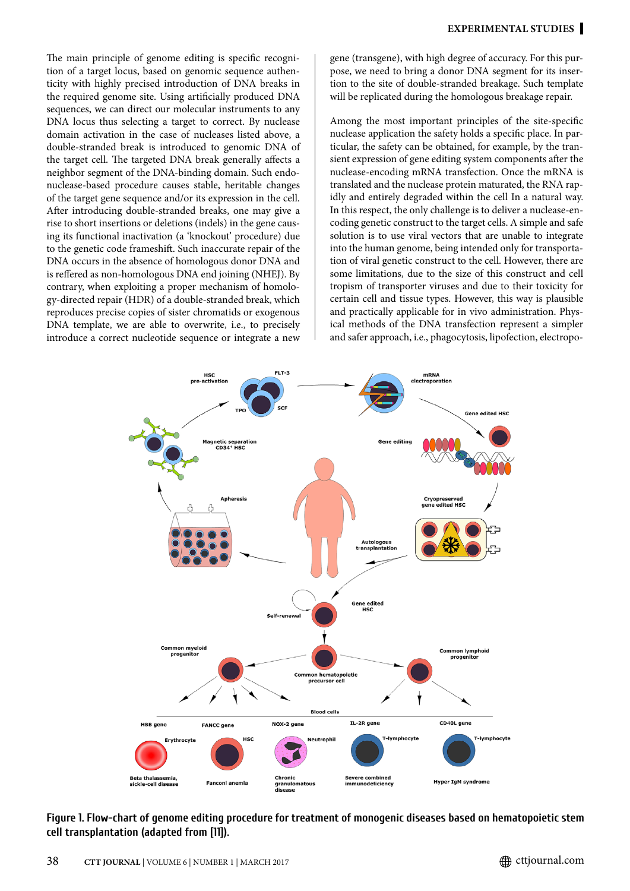The main principle of genome editing is specific recognition of a target locus, based on genomic sequence authenticity with highly precised introduction of DNA breaks in the required genome site. Using artificially produced DNA sequences, we can direct our molecular instruments to any DNA locus thus selecting a target to correct. By nuclease domain activation in the case of nucleases listed above, a double-stranded break is introduced to genomic DNA of the target cell. The targeted DNA break generally affects a neighbor segment of the DNA-binding domain. Such endonuclease-based procedure causes stable, heritable changes of the target gene sequence and/or its expression in the cell. After introducing double-stranded breaks, one may give a rise to short insertions or deletions (indels) in the gene causing its functional inactivation (a 'knockout' procedure) due to the genetic code frameshift. Such inaccurate repair of the DNA occurs in the absence of homologous donor DNA and is reffered as non-homologous DNA end joining (NHEJ). By contrary, when exploiting a proper mechanism of homology-directed repair (HDR) of a double-stranded break, which reproduces precise copies of sister chromatids or exogenous DNA template, we are able to overwrite, i.e., to precisely introduce a correct nucleotide sequence or integrate a new

gene (transgene), with high degree of accuracy. For this purpose, we need to bring a donor DNA segment for its insertion to the site of double-stranded breakage. Such template will be replicated during the homologous breakage repair.

Among the most important principles of the site-specific nuclease application the safety holds a specific place. In particular, the safety can be obtained, for example, by the transient expression of gene editing system components after the nuclease-encoding mRNA transfection. Once the mRNA is translated and the nuclease protein maturated, the RNA rapidly and entirely degraded within the cell In a natural way. In this respect, the only challenge is to deliver a nuclease-encoding genetic construct to the target cells. A simple and safe solution is to use viral vectors that are unable to integrate into the human genome, being intended only for transportation of viral genetic construct to the cell. However, there are some limitations, due to the size of this construct and cell tropism of transporter viruses and due to their toxicity for certain cell and tissue types. However, this way is plausible and practically applicable for in vivo administration. Physical methods of the DNA transfection represent a simpler and safer approach, i.e., phagocytosis, lipofection, electropo-



**Figure 1. Flow-chart of genome editing procedure for treatment of monogenic diseases based on hematopoietic stem cell transplantation (adapted from [11]).**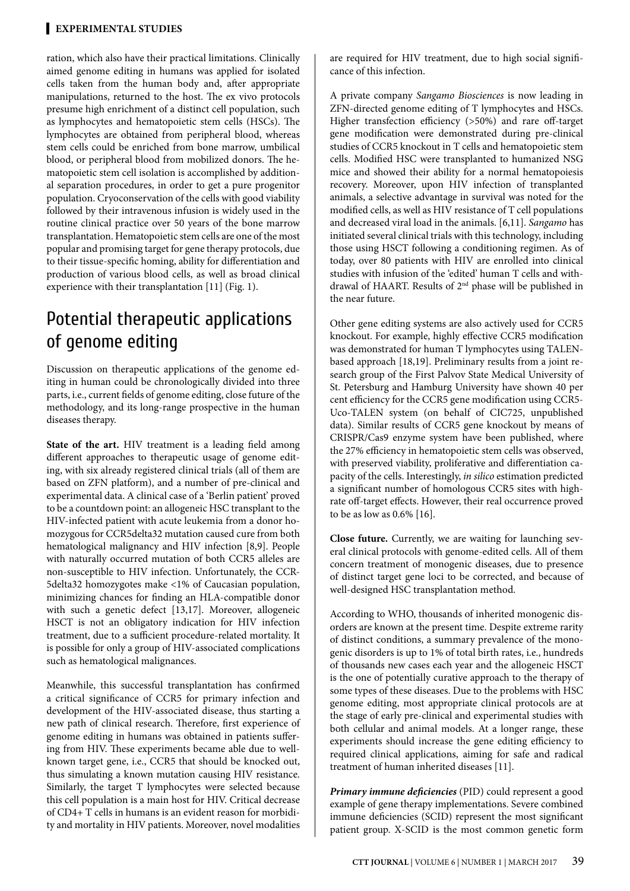#### **Experimental studies**

ration, which also have their practical limitations. Clinically aimed genome editing in humans was applied for isolated cells taken from the human body and, after appropriate manipulations, returned to the host. The ex vivo protocols presume high enrichment of a distinct cell population, such as lymphocytes and hematopoietic stem cells (HSCs). The lymphocytes are obtained from peripheral blood, whereas stem cells could be enriched from bone marrow, umbilical blood, or peripheral blood from mobilized donors. The hematopoietic stem cell isolation is accomplished by additional separation procedures, in order to get a pure progenitor population. Cryoconservation of the cells with good viability followed by their intravenous infusion is widely used in the routine clinical practice over 50 years of the bone marrow transplantation. Hematopoietic stem cells are one of the most popular and promising target for gene therapy protocols, due to their tissue-specific homing, ability for differentiation and production of various blood cells, as well as broad clinical experience with their transplantation [11] (Fig. 1).

# Potential therapeutic applications of genome editing

Discussion on therapeutic applications of the genome editing in human could be chronologically divided into three parts, i.e., current fields of genome editing, close future of the methodology, and its long-range prospective in the human diseases therapy.

**State of the art.** HIV treatment is a leading field among different approaches to therapeutic usage of genome editing, with six already registered clinical trials (all of them are based on ZFN platform), and a number of pre-clinical and experimental data. A clinical case of a 'Berlin patient' proved to be a countdown point: an allogeneic HSC transplant to the HIV-infected patient with acute leukemia from a donor homozygous for CCR5delta32 mutation caused cure from both hematological malignancy and HIV infection [8,9]. People with naturally occurred mutation of both CCR5 alleles are non-susceptible to HIV infection. Unfortunately, the CCR-5delta32 homozygotes make <1% of Caucasian population, minimizing chances for finding an HLA-compatible donor with such a genetic defect [13,17]. Moreover, allogeneic HSCT is not an obligatory indication for HIV infection treatment, due to a sufficient procedure-related mortality. It is possible for only a group of HIV-associated complications such as hematological malignances.

Meanwhile, this successful transplantation has confirmed a critical significance of CCR5 for primary infection and development of the HIV-associated disease, thus starting a new path of clinical research. Therefore, first experience of genome editing in humans was obtained in patients suffering from HIV. These experiments became able due to wellknown target gene, i.e., CCR5 that should be knocked out, thus simulating a known mutation causing HIV resistance. Similarly, the target T lymphocytes were selected because this cell population is a main host for HIV. Critical decrease of CD4+ T cells in humans is an evident reason for morbidity and mortality in HIV patients. Moreover, novel modalities

are required for HIV treatment, due to high social significance of this infection.

A private company *Sangamo Biosciences* is now leading in ZFN-directed genome editing of T lymphocytes and HSCs. Higher transfection efficiency (>50%) and rare off-target gene modification were demonstrated during pre-clinical studies of CCR5 knockout in T cells and hematopoietic stem cells. Modified HSC were transplanted to humanized NSG mice and showed their ability for a normal hematopoiesis recovery. Moreover, upon HIV infection of transplanted animals, a selective advantage in survival was noted for the modified cells, as well as HIV resistance of T cell populations and decreased viral load in the animals. [6,11]. *Sangamo* has initiated several clinical trials with this technology, including those using HSCT following a conditioning regimen. As of today, over 80 patients with HIV are enrolled into clinical studies with infusion of the 'edited' human T cells and withdrawal of HAART. Results of 2nd phase will be published in the near future.

Other gene editing systems are also actively used for CCR5 knockout. For example, highly effective CCR5 modification was demonstrated for human T lymphocytes using TALENbased approach [18,19]. Preliminary results from a joint research group of the First Palvov State Medical University of St. Petersburg and Hamburg University have shown 40 per cent efficiency for the CCR5 gene modification using CCR5- Uco-TALEN system (on behalf of CIC725, unpublished data). Similar results of CCR5 gene knockout by means of CRISPR/Cas9 enzyme system have been published, where the 27% efficiency in hematopoietic stem cells was observed, with preserved viability, proliferative and differentiation capacity of the cells. Interestingly, *in silico* estimation predicted a significant number of homologous CCR5 sites with highrate off-target effects. However, their real occurrence proved to be as low as 0.6% [16].

**Close future.** Currently, we are waiting for launching several clinical protocols with genome-edited cells. All of them concern treatment of monogenic diseases, due to presence of distinct target gene loci to be corrected, and because of well-designed HSC transplantation method.

According to WHO, thousands of inherited monogenic disorders are known at the present time. Despite extreme rarity of distinct conditions, a summary prevalence of the monogenic disorders is up to 1% of total birth rates, i.e., hundreds of thousands new cases each year and the allogeneic HSCT is the one of potentially curative approach to the therapy of some types of these diseases. Due to the problems with HSC genome editing, most appropriate clinical protocols are at the stage of early pre-clinical and experimental studies with both cellular and animal models. At a longer range, these experiments should increase the gene editing efficiency to required clinical applications, aiming for safe and radical treatment of human inherited diseases [11].

*Primary immune deficiencies* (PID) could represent a good example of gene therapy implementations. Severe combined immune deficiencies (SCID) represent the most significant patient group. X-SCID is the most common genetic form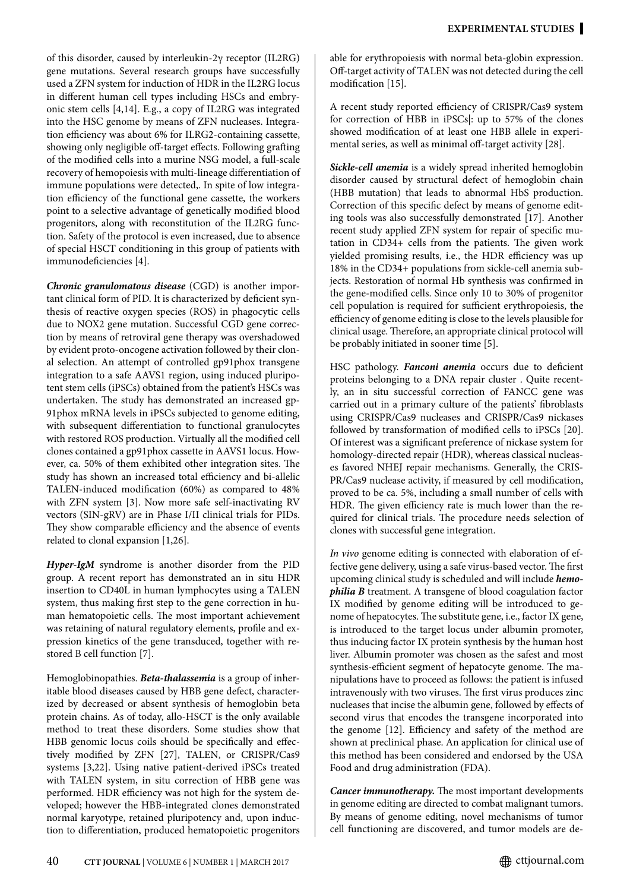of this disorder, caused by interleukin-2γ receptor (IL2RG) gene mutations. Several research groups have successfully used a ZFN system for induction of HDR in the IL2RG locus in different human cell types including HSCs and embryonic stem cells [4,14]. E.g., a copy of IL2RG was integrated into the HSC genome by means of ZFN nucleases. Integration efficiency was about 6% for ILRG2-containing cassette, showing only negligible off-target effects. Following grafting of the modified cells into a murine NSG model, a full-scale recovery of hemopoiesis with multi-lineage differentiation of immune populations were detected,. In spite of low integration efficiency of the functional gene cassette, the workers point to a selective advantage of genetically modified blood progenitors, along with reconstitution of the IL2RG function. Safety of the protocol is even increased, due to absence of special HSCT conditioning in this group of patients with immunodeficiencies [4].

*Chronic granulomatous disease* (CGD) is another important clinical form of PID. It is characterized by deficient synthesis of reactive oxygen species (ROS) in phagocytic cells due to NOX2 gene mutation. Successful CGD gene correction by means of retroviral gene therapy was overshadowed by evident proto-oncogene activation followed by their clonal selection. An attempt of controlled gp91phox transgene integration to a safe AAVS1 region, using induced pluripotent stem cells (iPSCs) obtained from the patient's HSCs was undertaken. The study has demonstrated an increased gp-91phox mRNA levels in iPSCs subjected to genome editing, with subsequent differentiation to functional granulocytes with restored ROS production. Virtually all the modified cell clones contained a gp91phox cassette in AAVS1 locus. However, ca. 50% of them exhibited other integration sites. The study has shown an increased total efficiency and bi-allelic TALEN-induced modification (60%) as compared to 48% with ZFN system [3]. Now more safe self-inactivating RV vectors (SIN-gRV) are in Phase I/II clinical trials for PIDs. They show comparable efficiency and the absence of events related to clonal expansion [1,26].

*Hyper-IgM* syndrome is another disorder from the PID group. A recent report has demonstrated an in situ HDR insertion to CD40L in human lymphocytes using a TALEN system, thus making first step to the gene correction in human hematopoietic cells. The most important achievement was retaining of natural regulatory elements, profile and expression kinetics of the gene transduced, together with restored B cell function [7].

Hemoglobinopathies. *Beta-thalassemia* is a group of inheritable blood diseases caused by HBB gene defect, characterized by decreased or absent synthesis of hemoglobin beta protein chains. As of today, allo-HSCT is the only available method to treat these disorders. Some studies show that HBB genomic locus coils should be specifically and effectively modified by ZFN [27], TALEN, or CRISPR/Cas9 systems [3,22]. Using native patient-derived iPSCs treated with TALEN system, in situ correction of HBB gene was performed. HDR efficiency was not high for the system developed; however the HBB-integrated clones demonstrated normal karyotype, retained pluripotency and, upon induction to differentiation, produced hematopoietic progenitors

able for erythropoiesis with normal beta-globin expression. Off-target activity of TALEN was not detected during the cell modification [15].

A recent study reported efficiency of CRISPR/Cas9 system for correction of HBB in iPSCs|: up to 57% of the clones showed modification of at least one HBB allele in experimental series, as well as minimal off-target activity [28].

*Sickle-cell anemia* is a widely spread inherited hemoglobin disorder caused by structural defect of hemoglobin chain (HBB mutation) that leads to abnormal HbS production. Correction of this specific defect by means of genome editing tools was also successfully demonstrated [17]. Another recent study applied ZFN system for repair of specific mutation in CD34+ cells from the patients. The given work yielded promising results, i.e., the HDR efficiency was up 18% in the CD34+ populations from sickle-cell anemia subjects. Restoration of normal Hb synthesis was confirmed in the gene-modified cells. Since only 10 to 30% of progenitor cell population is required for sufficient erythropoiesis, the efficiency of genome editing is close to the levels plausible for clinical usage. Therefore, an appropriate clinical protocol will be probably initiated in sooner time [5].

HSC pathology. *Fanconi anemia* occurs due to deficient proteins belonging to a DNA repair cluster . Quite recently, an in situ successful correction of FANCC gene was carried out in a primary culture of the patients' fibroblasts using CRISPR/Cas9 nucleases and CRISPR/Cas9 nickases followed by transformation of modified cells to iPSCs [20]. Of interest was a significant preference of nickase system for homology-directed repair (HDR), whereas classical nucleases favored NHEJ repair mechanisms. Generally, the CRIS-PR/Cas9 nuclease activity, if measured by cell modification, proved to be ca. 5%, including a small number of cells with HDR. The given efficiency rate is much lower than the required for clinical trials. The procedure needs selection of clones with successful gene integration.

*In vivo* genome editing is connected with elaboration of effective gene delivery, using a safe virus-based vector. The first upcoming clinical study is scheduled and will include *hemophilia B* treatment. A transgene of blood coagulation factor IX modified by genome editing will be introduced to genome of hepatocytes. The substitute gene, i.e., factor IX gene, is introduced to the target locus under albumin promoter, thus inducing factor IX protein synthesis by the human host liver. Albumin promoter was chosen as the safest and most synthesis-efficient segment of hepatocyte genome. The manipulations have to proceed as follows: the patient is infused intravenously with two viruses. The first virus produces zinc nucleases that incise the albumin gene, followed by effects of second virus that encodes the transgene incorporated into the genome [12]. Efficiency and safety of the method are shown at preclinical phase. An application for clinical use of this method has been considered and endorsed by the USA Food and drug administration (FDA).

*Cancer immunotherapy.* The most important developments in genome editing are directed to combat malignant tumors. By means of genome editing, novel mechanisms of tumor cell functioning are discovered, and tumor models are de-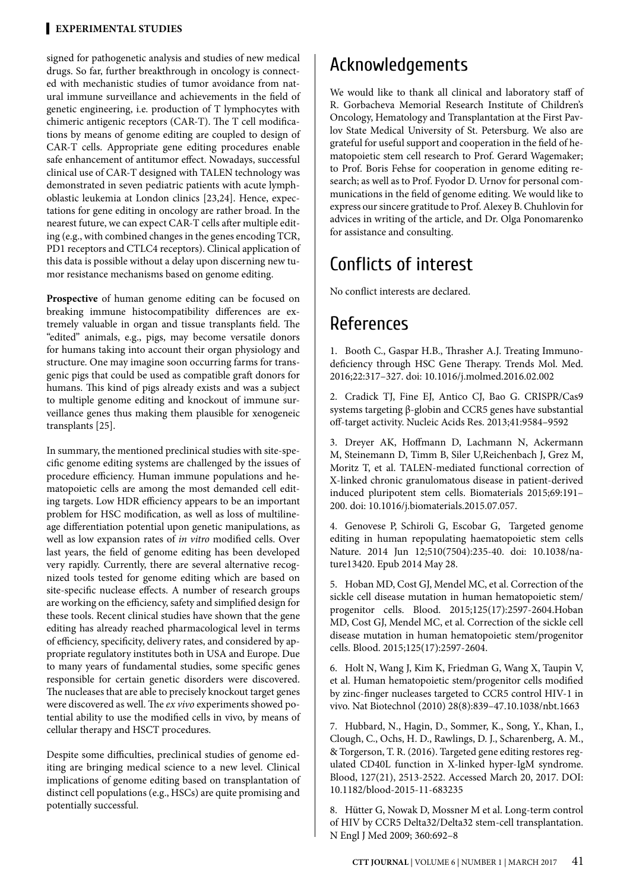#### **Experimental studies**

signed for pathogenetic analysis and studies of new medical drugs. So far, further breakthrough in oncology is connected with mechanistic studies of tumor avoidance from natural immune surveillance and achievements in the field of genetic engineering, i.e. production of T lymphocytes with chimeric antigenic receptors (CAR-T). The T cell modifications by means of genome editing are coupled to design of CAR-T cells. Appropriate gene editing procedures enable safe enhancement of antitumor effect. Nowadays, successful clinical use of CAR-T designed with TALEN technology was demonstrated in seven pediatric patients with acute lymphoblastic leukemia at London clinics [23,24]. Hence, expectations for gene editing in oncology are rather broad. In the nearest future, we can expect CAR-T cells after multiple editing (e.g., with combined changes in the genes encoding ТCR, PD1 receptors and CTLC4 receptors). Clinical application of this data is possible without a delay upon discerning new tumor resistance mechanisms based on genome editing.

**Prospective** of human genome editing can be focused on breaking immune histocompatibility differences are extremely valuable in organ and tissue transplants field. The "edited" animals, e.g., pigs, may become versatile donors for humans taking into account their organ physiology and structure. One may imagine soon occurring farms for transgenic pigs that could be used as compatible graft donors for humans. This kind of pigs already exists and was a subject to multiple genome editing and knockout of immune surveillance genes thus making them plausible for xenogeneic transplants [25].

In summary, the mentioned preclinical studies with site-specific genome editing systems are challenged by the issues of procedure efficiency. Human immune populations and hematopoietic cells are among the most demanded cell editing targets. Low HDR efficiency appears to be an important problem for HSC modification, as well as loss of multilineage differentiation potential upon genetic manipulations, as well as low expansion rates of *in vitro* modified cells. Over last years, the field of genome editing has been developed very rapidly. Currently, there are several alternative recognized tools tested for genome editing which are based on site-specific nuclease effects. A number of research groups are working on the efficiency, safety and simplified design for these tools. Recent clinical studies have shown that the gene editing has already reached pharmacological level in terms of efficiency, specificity, delivery rates, and considered by appropriate regulatory institutes both in USA and Europe. Due to many years of fundamental studies, some specific genes responsible for certain genetic disorders were discovered. The nucleases that are able to precisely knockout target genes were discovered as well. The *ex vivo* experiments showed potential ability to use the modified cells in vivo, by means of cellular therapy and HSCT procedures.

Despite some difficulties, preclinical studies of genome editing are bringing medical science to a new level. Clinical implications of genome editing based on transplantation of distinct cell populations (e.g., HSCs) are quite promising and potentially successful.

### Acknowledgements

We would like to thank all clinical and laboratory staff of R. Gorbacheva Memorial Research Institute of Children's Oncology, Hematology and Transplantation at the First Pavlov State Medical University of St. Petersburg. We also are grateful for useful support and cooperation in the field of hematopoietic stem cell research to Prof. Gerard Wagemaker; to Prof. Boris Fehse for cooperation in genome editing research; as well as to Prof. Fyodor D. Urnov for personal communications in the field of genome editing. We would like to express our sincere gratitude to Prof. Alexey B. Chuhlovin for advices in writing of the article, and Dr. Olga Ponomarenko for assistance and consulting.

# Conflicts of interest

No conflict interests are declared.

### References

1. Booth C., Gaspar H.B., Thrasher A.J. Treating Immunodeficiency through HSC Gene Therapy. Trends Mol. Med. 2016;22:317–327. doi: 10.1016/j.molmed.2016.02.002

2. Cradick TJ, Fine EJ, Antico CJ, Bao G. CRISPR/Cas9 systems targeting β-globin and CCR5 genes have substantial off-target activity. Nucleic Acids Res. 2013;41:9584–9592

3. Dreyer AK, Hoffmann D, Lachmann N, Ackermann M, Steinemann D, Timm B, Siler U,Reichenbach J, Grez M, Moritz T, et al. TALEN-mediated functional correction of X-linked chronic granulomatous disease in patient-derived induced pluripotent stem cells. Biomaterials 2015;69:191– 200. doi: 10.1016/j.biomaterials.2015.07.057.

4. Genovese P, Schiroli G, Escobar G, Targeted genome editing in human repopulating haematopoietic stem cells Nature. 2014 Jun 12;510(7504):235-40. doi: 10.1038/nature13420. Epub 2014 May 28.

5. Hoban MD, Cost GJ, Mendel MC, et al. Correction of the sickle cell disease mutation in human hematopoietic stem/ progenitor cells. Blood. 2015;125(17):2597-2604.Hoban MD, Cost GJ, Mendel MC, et al. Correction of the sickle cell disease mutation in human hematopoietic stem/progenitor cells. Blood. 2015;125(17):2597-2604.

6. Holt N, Wang J, Kim K, Friedman G, Wang X, Taupin V, et al. Human hematopoietic stem/progenitor cells modified by zinc-finger nucleases targeted to CCR5 control HIV-1 in vivo. Nat Biotechnol (2010) 28(8):839–47.10.1038/nbt.1663

7. Hubbard, N., Hagin, D., Sommer, K., Song, Y., Khan, I., Clough, C., Ochs, H. D., Rawlings, D. J., Scharenberg, A. M., & Torgerson, T. R. (2016). Targeted gene editing restores regulated CD40L function in X-linked hyper-IgM syndrome. Blood, 127(21), 2513-2522. Accessed March 20, 2017. DOI: 10.1182/blood-2015-11-683235

8. Hütter G, Nowak D, Mossner M et al. Long-term control of HIV by CCR5 Delta32/Delta32 stem-cell transplantation. N Engl J Med 2009; 360:692–8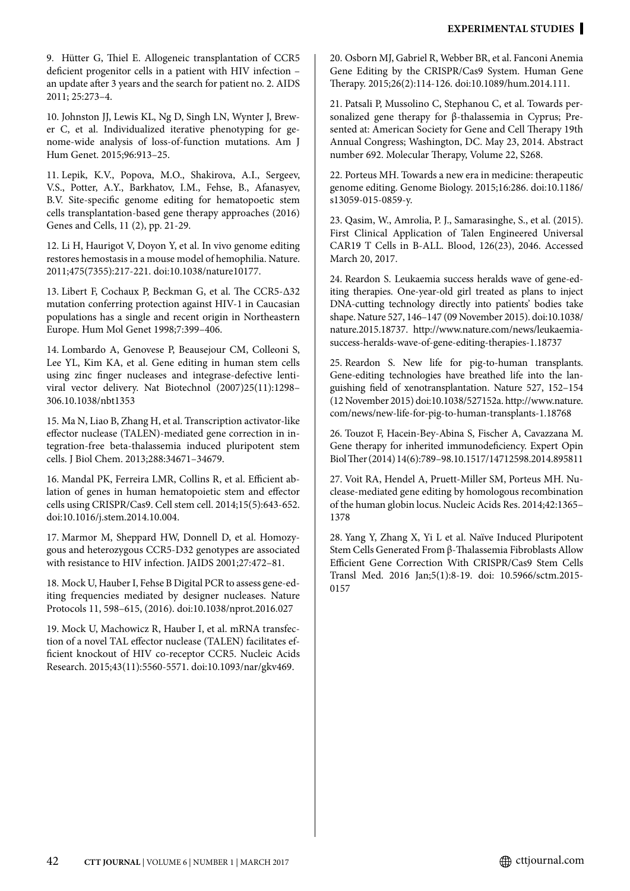9. Hütter G, Thiel E. Allogeneic transplantation of CCR5 deficient progenitor cells in a patient with HIV infection – an update after 3 years and the search for patient no. 2. AIDS 2011; 25:273–4.

10. Johnston JJ, Lewis KL, Ng D, Singh LN, Wynter J, Brewer C, et al. Individualized iterative phenotyping for genome-wide analysis of loss-of-function mutations. Am J Hum Genet. 2015;96:913–25.

11. Lepik, K.V., Popova, M.O., Shakirova, A.I., Sergeev, V.S., Potter, A.Y., Barkhatov, I.M., Fehse, B., Afanasyev, B.V. Site-specific genome editing for hematopoetic stem cells transplantation-based gene therapy approaches (2016) Genes and Cells, 11 (2), pp. 21-29.

12. Li H, Haurigot V, Doyon Y, et al. In vivo genome editing restores hemostasis in a mouse model of hemophilia. Nature. 2011;475(7355):217-221. doi:10.1038/nature10177.

13. Libert F, Cochaux P, Beckman G, et al. The CCR5-Δ32 mutation conferring protection against HIV-1 in Caucasian populations has a single and recent origin in Northeastern Europe. Hum Mol Genet 1998;7:399–406.

14. Lombardo A, Genovese P, Beausejour CM, Colleoni S, Lee YL, Kim KA, et al. Gene editing in human stem cells using zinc finger nucleases and integrase-defective lentiviral vector delivery. Nat Biotechnol (2007)25(11):1298– 306.10.1038/nbt1353

15. Ma N, Liao B, Zhang H, et al. Transcription activator-like effector nuclease (TALEN)-mediated gene correction in integration-free beta-thalassemia induced pluripotent stem cells. J Biol Chem. 2013;288:34671–34679.

16. Mandal PK, Ferreira LMR, Collins R, et al. Efficient ablation of genes in human hematopoietic stem and effector cells using CRISPR/Cas9. Cell stem cell. 2014;15(5):643-652. doi:10.1016/j.stem.2014.10.004.

17. Marmor M, Sheppard HW, Donnell D, et al. Homozygous and heterozygous CCR5-D32 genotypes are associated with resistance to HIV infection. JAIDS 2001;27:472–81.

18. Mock U, Hauber I, Fehse B Digital PCR to assess gene-editing frequencies mediated by designer nucleases. Nature Protocols 11, 598–615, (2016). doi:10.1038/nprot.2016.027

19. Mock U, Machowicz R, Hauber I, et al. mRNA transfection of a novel TAL effector nuclease (TALEN) facilitates efficient knockout of HIV co-receptor CCR5. Nucleic Acids Research. 2015;43(11):5560-5571. doi:10.1093/nar/gkv469.

20. Osborn MJ, Gabriel R, Webber BR, et al. Fanconi Anemia Gene Editing by the CRISPR/Cas9 System. Human Gene Therapy. 2015;26(2):114-126. doi:10.1089/hum.2014.111.

21. Patsali P, Mussolino C, Stephanou C, et al. Towards personalized gene therapy for β-thalassemia in Cyprus; Presented at: American Society for Gene and Cell Therapy 19th Annual Congress; Washington, DC. May 23, 2014. Abstract number 692. Molecular Therapy, Volume 22, S268.

22. Porteus MH. Towards a new era in medicine: therapeutic genome editing. Genome Biology. 2015;16:286. doi:10.1186/ s13059-015-0859-y.

23. Qasim, W., Amrolia, P. J., Samarasinghe, S., et al. (2015). First Clinical Application of Talen Engineered Universal CAR19 T Cells in B-ALL. Blood, 126(23), 2046. Accessed March 20, 2017.

24. Reardon S. Leukaemia success heralds wave of gene-editing therapies. One-year-old girl treated as plans to inject DNA-cutting technology directly into patients' bodies take shape. Nature 527, 146–147 (09 November 2015). doi:10.1038/ nature.2015.18737. http://www.nature.com/news/leukaemiasuccess-heralds-wave-of-gene-editing-therapies-1.18737

25. Reardon S. New life for pig-to-human transplants. Gene-editing technologies have breathed life into the languishing field of xenotransplantation. Nature 527, 152–154 (12 November 2015) doi:10.1038/527152a. http://www.nature. com/news/new-life-for-pig-to-human-transplants-1.18768

26. Touzot F, Hacein-Bey-Abina S, Fischer A, Cavazzana M. Gene therapy for inherited immunodeficiency. Expert Opin Biol Ther (2014) 14(6):789–98.10.1517/14712598.2014.895811

27. Voit RA, Hendel A, Pruett-Miller SM, Porteus MH. Nuclease-mediated gene editing by homologous recombination of the human globin locus. Nucleic Acids Res. 2014;42:1365– 1378

28. Yang Y, Zhang X, Yi L et al. Naïve Induced Pluripotent Stem Cells Generated From β-Thalassemia Fibroblasts Allow Efficient Gene Correction With CRISPR/Cas9 Stem Cells Transl Med. 2016 Jan;5(1):8-19. doi: 10.5966/sctm.2015- 0157